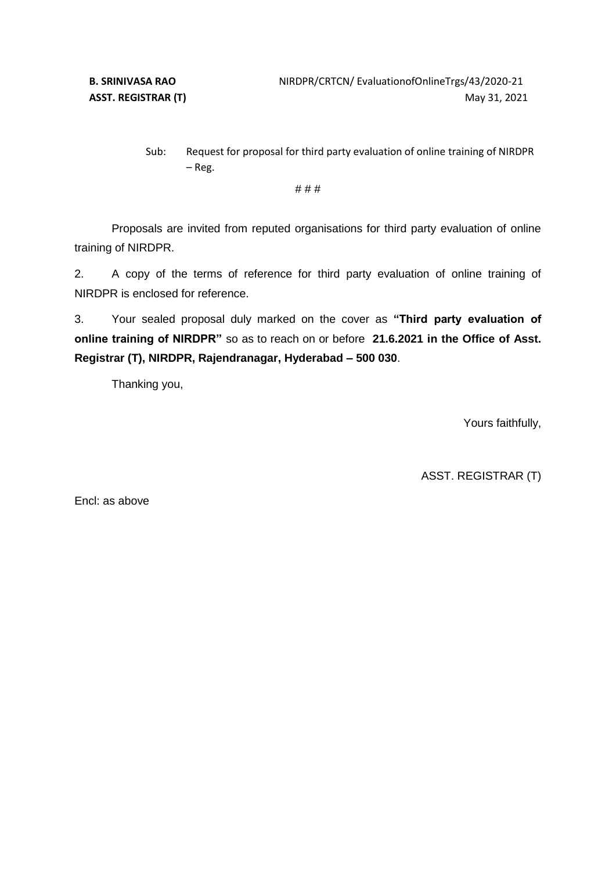Sub: Request for proposal for third party evaluation of online training of NIRDPR – Reg.

# # #

Proposals are invited from reputed organisations for third party evaluation of online training of NIRDPR.

2. A copy of the terms of reference for third party evaluation of online training of NIRDPR is enclosed for reference.

3. Your sealed proposal duly marked on the cover as **"Third party evaluation of online training of NIRDPR"** so as to reach on or before **21.6.2021 in the Office of Asst. Registrar (T), NIRDPR, Rajendranagar, Hyderabad – 500 030**.

Thanking you,

Yours faithfully,

ASST. REGISTRAR (T)

Encl: as above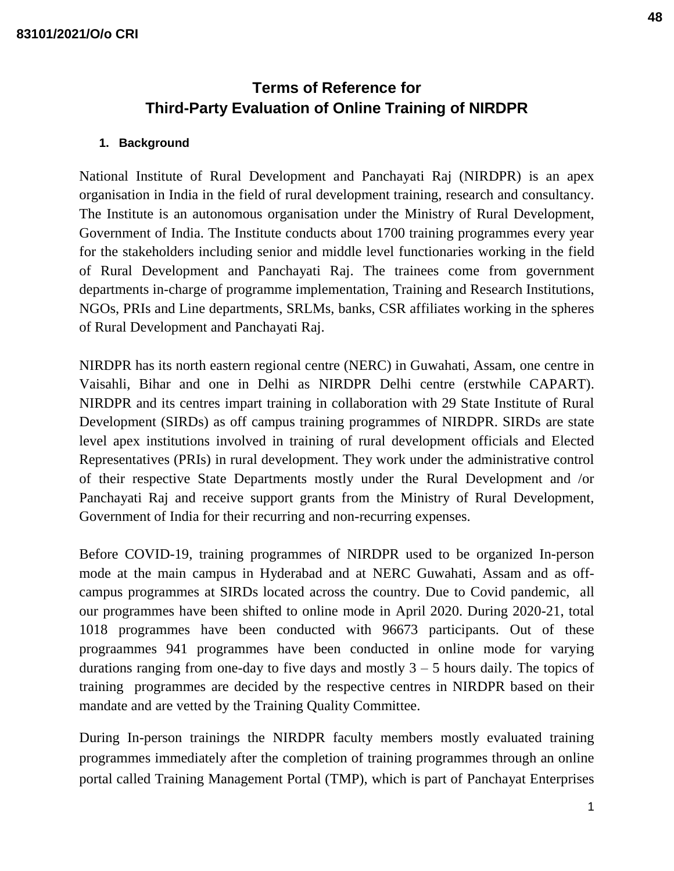# **Terms of Reference for Third-Party Evaluation of Online Training of NIRDPR**

#### **1. Background**

National Institute of Rural Development and Panchayati Raj (NIRDPR) is an apex organisation in India in the field of rural development training, research and consultancy. The Institute is an autonomous organisation under the Ministry of Rural Development, Government of India. The Institute conducts about 1700 training programmes every year for the stakeholders including senior and middle level functionaries working in the field of Rural Development and Panchayati Raj. The trainees come from government departments in-charge of programme implementation, Training and Research Institutions, NGOs, PRIs and Line departments, SRLMs, banks, CSR affiliates working in the spheres of Rural Development and Panchayati Raj.

NIRDPR has its north eastern regional centre (NERC) in Guwahati, Assam, one centre in Vaisahli, Bihar and one in Delhi as NIRDPR Delhi centre (erstwhile CAPART). NIRDPR and its centres impart training in collaboration with 29 State Institute of Rural Development (SIRDs) as off campus training programmes of NIRDPR. SIRDs are state level apex institutions involved in training of rural development officials and Elected Representatives (PRIs) in rural development. They work under the administrative control of their respective State Departments mostly under the Rural Development and /or Panchayati Raj and receive support grants from the Ministry of Rural Development, Government of India for their recurring and non-recurring expenses.

Before COVID-19, training programmes of NIRDPR used to be organized In-person mode at the main campus in Hyderabad and at NERC Guwahati, Assam and as offcampus programmes at SIRDs located across the country. Due to Covid pandemic, all our programmes have been shifted to online mode in April 2020. During 2020-21, total 1018 programmes have been conducted with 96673 participants. Out of these prograammes 941 programmes have been conducted in online mode for varying durations ranging from one-day to five days and mostly  $3 - 5$  hours daily. The topics of training programmes are decided by the respective centres in NIRDPR based on their mandate and are vetted by the Training Quality Committee.

During In-person trainings the NIRDPR faculty members mostly evaluated training programmes immediately after the completion of training programmes through an online portal called Training Management Portal (TMP), which is part of Panchayat Enterprises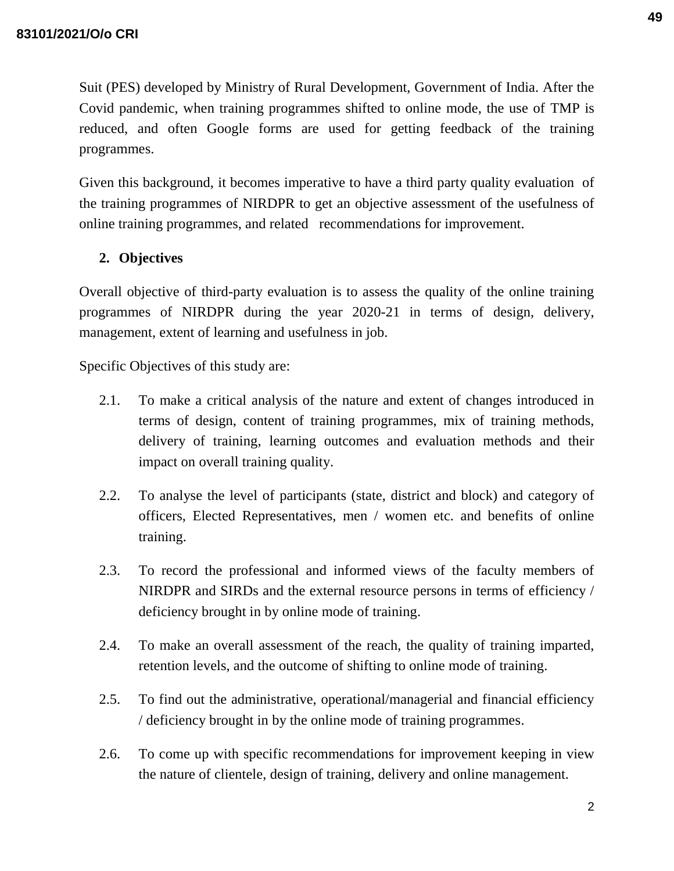Suit (PES) developed by Ministry of Rural Development, Government of India. After the Covid pandemic, when training programmes shifted to online mode, the use of TMP is reduced, and often Google forms are used for getting feedback of the training programmes.

Given this background, it becomes imperative to have a third party quality evaluation of the training programmes of NIRDPR to get an objective assessment of the usefulness of online training programmes, and related recommendations for improvement.

# **2. Objectives**

Overall objective of third-party evaluation is to assess the quality of the online training programmes of NIRDPR during the year 2020-21 in terms of design, delivery, management, extent of learning and usefulness in job.

Specific Objectives of this study are:

- 2.1. To make a critical analysis of the nature and extent of changes introduced in terms of design, content of training programmes, mix of training methods, delivery of training, learning outcomes and evaluation methods and their impact on overall training quality.
- 2.2. To analyse the level of participants (state, district and block) and category of officers, Elected Representatives, men / women etc. and benefits of online training.
- 2.3. To record the professional and informed views of the faculty members of NIRDPR and SIRDs and the external resource persons in terms of efficiency / deficiency brought in by online mode of training.
- 2.4. To make an overall assessment of the reach, the quality of training imparted, retention levels, and the outcome of shifting to online mode of training.
- 2.5. To find out the administrative, operational/managerial and financial efficiency / deficiency brought in by the online mode of training programmes.
- 2.6. To come up with specific recommendations for improvement keeping in view the nature of clientele, design of training, delivery and online management.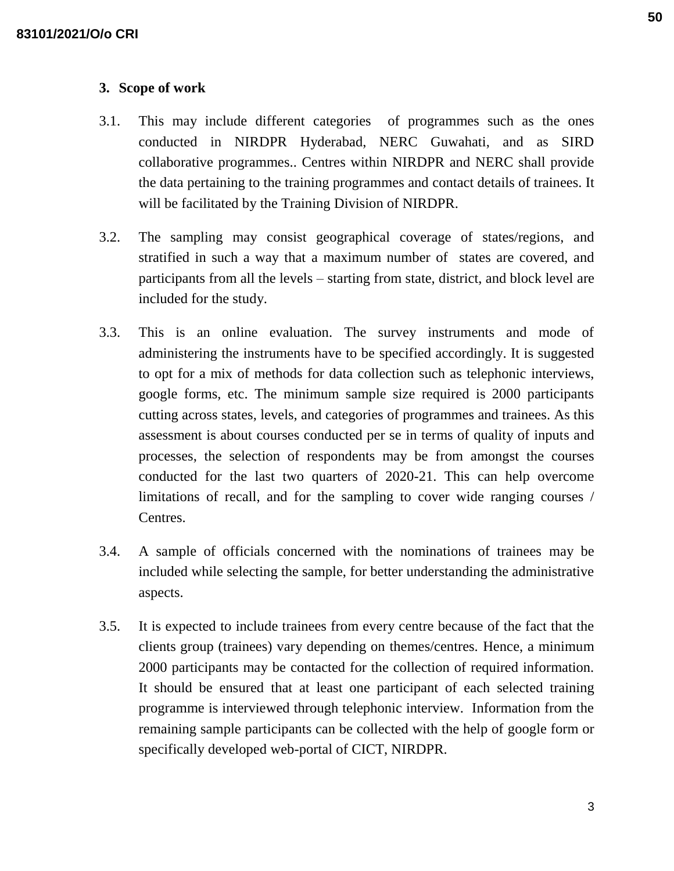#### **3. Scope of work**

- 3.1. This may include different categories of programmes such as the ones conducted in NIRDPR Hyderabad, NERC Guwahati, and as SIRD collaborative programmes.. Centres within NIRDPR and NERC shall provide the data pertaining to the training programmes and contact details of trainees. It will be facilitated by the Training Division of NIRDPR.
- 3.2. The sampling may consist geographical coverage of states/regions, and stratified in such a way that a maximum number of states are covered, and participants from all the levels – starting from state, district, and block level are included for the study.
- 3.3. This is an online evaluation. The survey instruments and mode of administering the instruments have to be specified accordingly. It is suggested to opt for a mix of methods for data collection such as telephonic interviews, google forms, etc. The minimum sample size required is 2000 participants cutting across states, levels, and categories of programmes and trainees. As this assessment is about courses conducted per se in terms of quality of inputs and processes, the selection of respondents may be from amongst the courses conducted for the last two quarters of 2020-21. This can help overcome limitations of recall, and for the sampling to cover wide ranging courses / Centres.
- 3.4. A sample of officials concerned with the nominations of trainees may be included while selecting the sample, for better understanding the administrative aspects.
- 3.5. It is expected to include trainees from every centre because of the fact that the clients group (trainees) vary depending on themes/centres. Hence, a minimum 2000 participants may be contacted for the collection of required information. It should be ensured that at least one participant of each selected training programme is interviewed through telephonic interview. Information from the remaining sample participants can be collected with the help of google form or specifically developed web-portal of CICT, NIRDPR.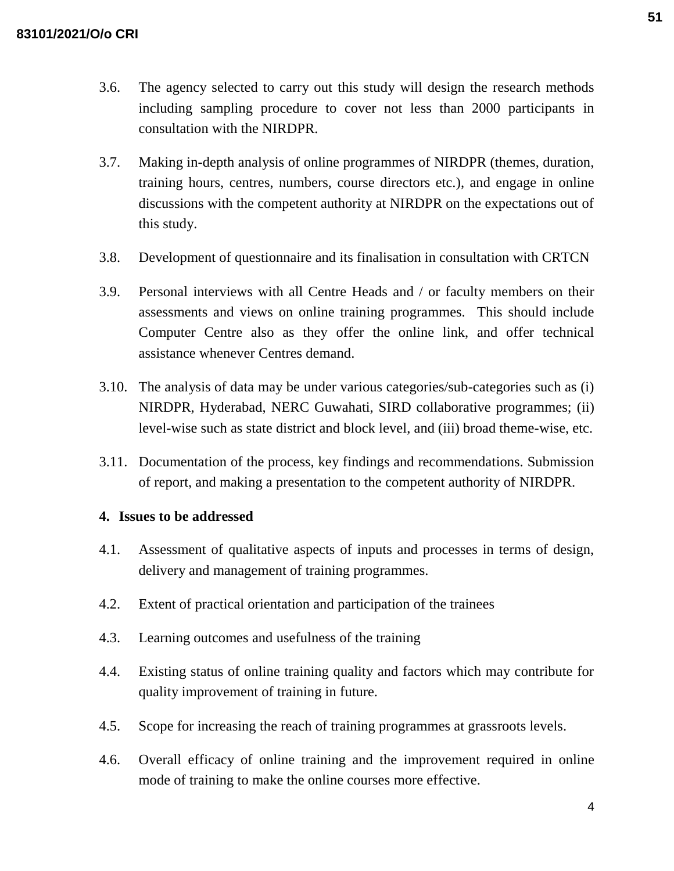- 3.6. The agency selected to carry out this study will design the research methods including sampling procedure to cover not less than 2000 participants in consultation with the NIRDPR.
- 3.7. Making in-depth analysis of online programmes of NIRDPR (themes, duration, training hours, centres, numbers, course directors etc.), and engage in online discussions with the competent authority at NIRDPR on the expectations out of this study.
- 3.8. Development of questionnaire and its finalisation in consultation with CRTCN
- 3.9. Personal interviews with all Centre Heads and / or faculty members on their assessments and views on online training programmes. This should include Computer Centre also as they offer the online link, and offer technical assistance whenever Centres demand.
- 3.10. The analysis of data may be under various categories/sub-categories such as (i) NIRDPR, Hyderabad, NERC Guwahati, SIRD collaborative programmes; (ii) level-wise such as state district and block level, and (iii) broad theme-wise, etc.
- 3.11. Documentation of the process, key findings and recommendations. Submission of report, and making a presentation to the competent authority of NIRDPR.

## **4. Issues to be addressed**

- 4.1. Assessment of qualitative aspects of inputs and processes in terms of design, delivery and management of training programmes.
- 4.2. Extent of practical orientation and participation of the trainees
- 4.3. Learning outcomes and usefulness of the training
- 4.4. Existing status of online training quality and factors which may contribute for quality improvement of training in future.
- 4.5. Scope for increasing the reach of training programmes at grassroots levels.
- 4.6. Overall efficacy of online training and the improvement required in online mode of training to make the online courses more effective.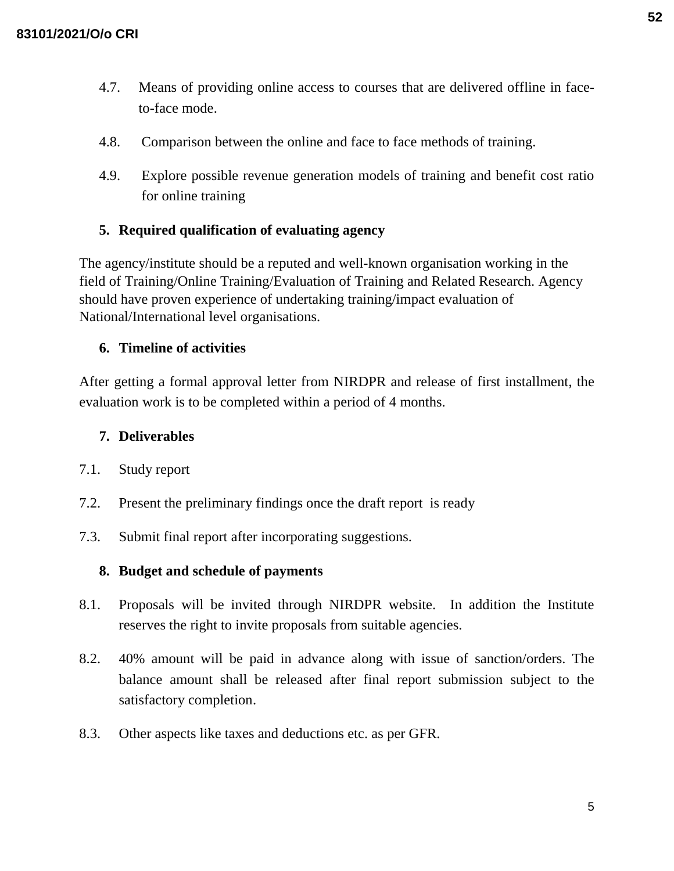- 4.7. Means of providing online access to courses that are delivered offline in faceto-face mode.
- 4.8. Comparison between the online and face to face methods of training.
- 4.9. Explore possible revenue generation models of training and benefit cost ratio for online training

# **5. Required qualification of evaluating agency**

The agency/institute should be a reputed and well-known organisation working in the field of Training/Online Training/Evaluation of Training and Related Research. Agency should have proven experience of undertaking training/impact evaluation of National/International level organisations.

### **6. Timeline of activities**

After getting a formal approval letter from NIRDPR and release of first installment, the evaluation work is to be completed within a period of 4 months.

## **7. Deliverables**

- 7.1. Study report
- 7.2. Present the preliminary findings once the draft report is ready
- 7.3. Submit final report after incorporating suggestions.

#### **8. Budget and schedule of payments**

- 8.1. Proposals will be invited through NIRDPR website. In addition the Institute reserves the right to invite proposals from suitable agencies.
- 8.2. 40% amount will be paid in advance along with issue of sanction/orders. The balance amount shall be released after final report submission subject to the satisfactory completion.
- 8.3. Other aspects like taxes and deductions etc. as per GFR.